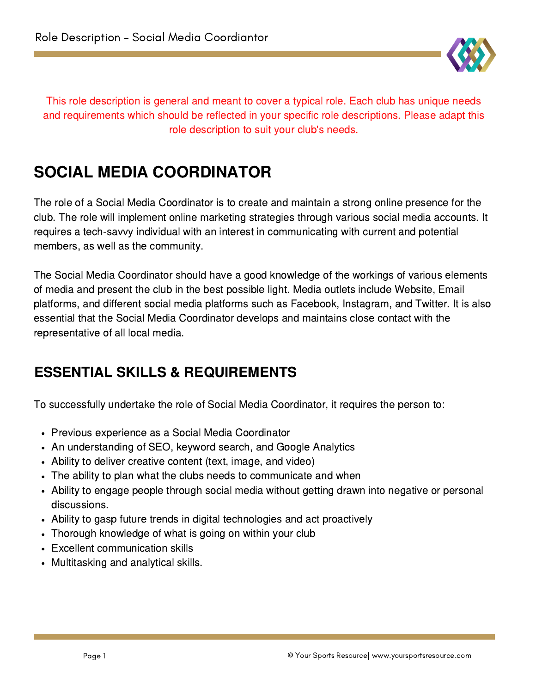

This role description is general and meant to cover a typical role. Each club has unique needs and requirements which should be reflected in your specific role descriptions. Please adapt this role description to suit your club's needs.

# SOCIAL MEDIA COORDINATOR

The role of a Social Media Coordinator is to create and maintain a strong online presence for the club. The role will implement online marketing strategies through various social media accounts. It requires a tech-savvy individual with an interest in communicating with current and potential members, as well as the community.

The Social Media Coordinator should have a good knowledge of the workings of various elements of media and present the club in the best possible light. Media outlets include Website, Email platforms, and different social media platforms such as Facebook, Instagram, and Twitter. It is also essential that the Social Media Coordinator develops and maintains close contact with the representative of all local media.

# ESSENTIAL SKILLS & REQUIREMENTS

To successfully undertake the role of Social Media Coordinator, it requires the person to:

- Previous experience as a Social Media Coordinator
- An understanding of SEO, keyword search, and Google Analytics
- Ability to deliver creative content (text, image, and video)
- The ability to plan what the clubs needs to communicate and when
- Ability to engage people through social media without getting drawn into negative or personal discussions.
- Ability to gasp future trends in digital technologies and act proactively
- Thorough knowledge of what is going on within your club
- Excellent communication skills
- Multitasking and analytical skills.